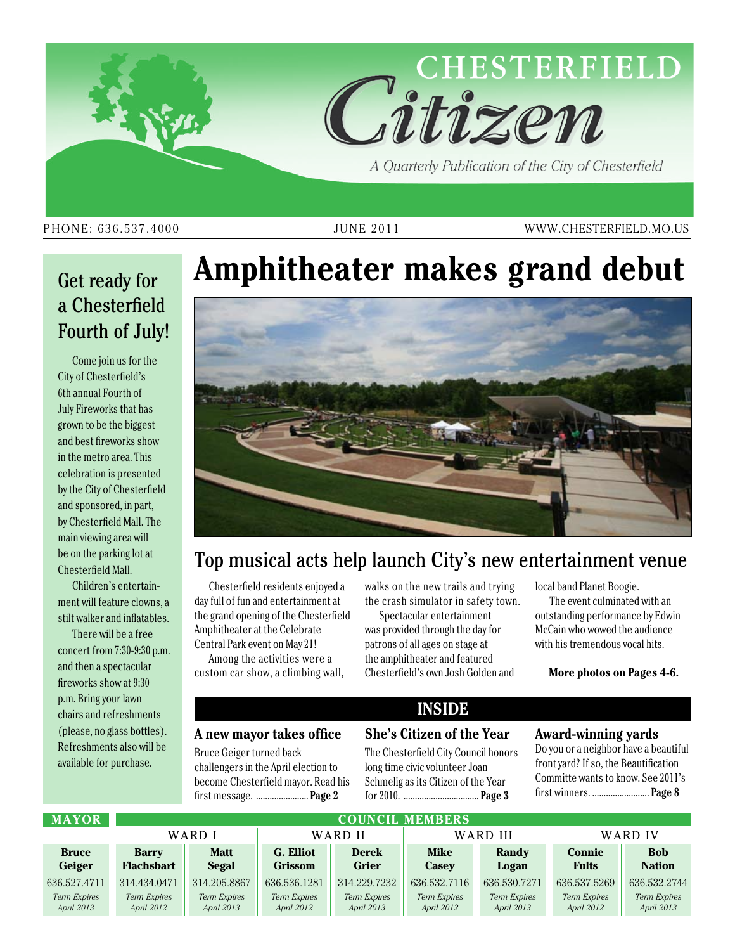

PHONE: 636.537.4000 JUNE 2011 WWW.CHESTERFIELD.MO.US

### Get ready for a Chesterfield Fourth of July!

Come join us for the City of Chesterfield's 6th annual Fourth of July Fireworks that has grown to be the biggest and best fireworks show in the metro area. This celebration is presented by the City of Chesterfield and sponsored, in part, by Chesterfield Mall. The main viewing area will be on the parking lot at Chesterfield Mall.

Children's entertainment will feature clowns, a stilt walker and inflatables.

There will be a free concert from 7:30-9:30 p.m. and then a spectacular fireworks show at 9:30 p.m. Bring your lawn chairs and refreshments (please, no glass bottles). Refreshments also will be available for purchase.

# **Amphitheater makes grand debut**



### Top musical acts help launch City's new entertainment venue

Chesterfield residents enjoyed a day full of fun and entertainment at the grand opening of the Chesterfield Amphitheater at the Celebrate Central Park event on May 21!

Among the activities were a custom car show, a climbing wall, walks on the new trails and trying the crash simulator in safety town.

Spectacular entertainment was provided through the day for patrons of all ages on stage at the amphitheater and featured Chesterfield's own Josh Golden and local band Planet Boogie.

The event culminated with an outstanding performance by Edwin McCain who wowed the audience with his tremendous vocal hits.

**More photos on Pages 4-6.**

#### **A new mayor takes office**

Bruce Geiger turned back challengers in the April election to become Chesterfield mayor. Read his first message. ....................... **Page 2**

### **Inside**

#### **She's Citizen of the Year**

The Chesterfield City Council honors long time civic volunteer Joan Schmelig as its Citizen of the Year for 2010. ................................. **Page 3**

#### **Award-winning yards**

Do you or a neighbor have a beautiful front yard? If so, the Beautification Committe wants to know. See 2011's first winners. ......................... **Page 8**

| <b>MAYOR</b>        | <b>COUNCIL MEMBERS</b> |              |                |                     |                     |              |                     |               |  |  |
|---------------------|------------------------|--------------|----------------|---------------------|---------------------|--------------|---------------------|---------------|--|--|
|                     | WARD I                 |              | WARD II        |                     | WARD III            |              | WARD IV             |               |  |  |
| <b>Bruce</b>        | <b>Barry</b>           | <b>Matt</b>  | G. Elliot      | <b>Derek</b>        | <b>Mike</b>         | Randy        | Connie              | <b>Bob</b>    |  |  |
| Geiger              | <b>Flachsbart</b>      | <b>Segal</b> | <b>Grissom</b> | <b>Grier</b>        | Casey               | Logan        | <b>Fults</b>        | <b>Nation</b> |  |  |
| 636.527.4711        | 314.434.0471           | 314.205.8867 | 636.536.1281   | 314.229.7232        | 636, 532, 7116      | 636.530.7271 | 636.537.5269        | 636.532.2744  |  |  |
| <b>Term Expires</b> | Term Expires           | Term Expires | Term Expires   | <b>Term Expires</b> | <b>Term Expires</b> | Term Expires | <b>Term Expires</b> | Term Expires  |  |  |
| April 2013          | April 2012             | April 2013   | April 2012     | April 2013          | April 2012          | April 2013   | April 2012          | April 2013    |  |  |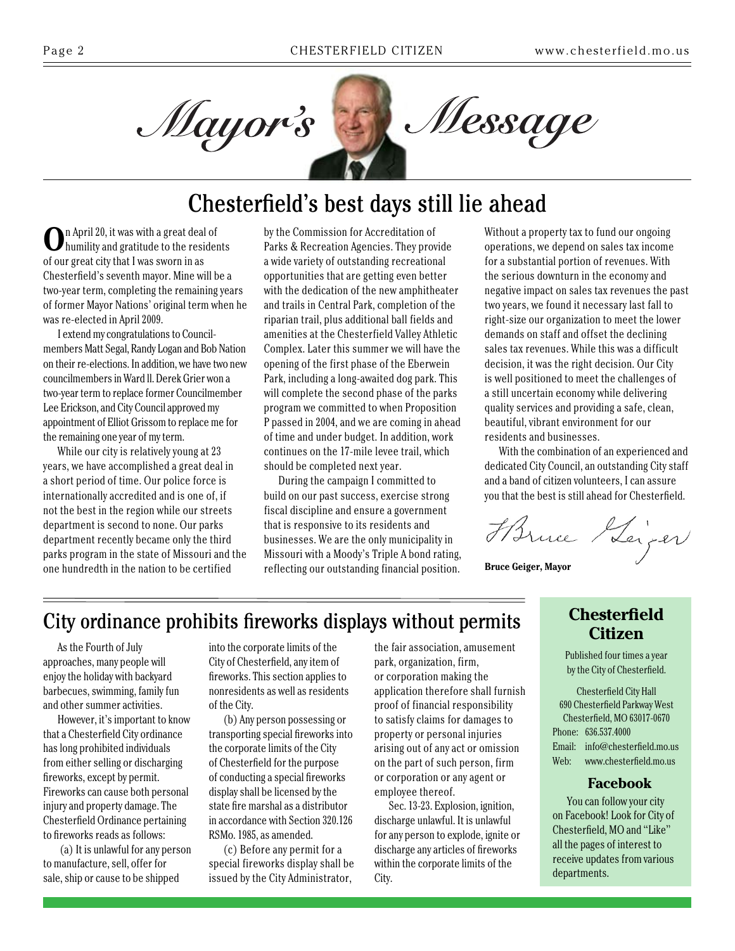

### Chesterfield's best days still lie ahead

**O**n April 20, it was with a great deal of humility and gratitude to the residents of our great city that I was sworn in as Chesterfield's seventh mayor. Mine will be a two-year term, completing the remaining years of former Mayor Nations' original term when he was re-elected in April 2009.

I extend my congratulations to Councilmembers Matt Segal, Randy Logan and Bob Nation on their re-elections. In addition, we have two new councilmembers in Ward ll. Derek Grier won a two-year term to replace former Councilmember Lee Erickson, and City Council approved my appointment of Elliot Grissom to replace me for the remaining one year of my term.

While our city is relatively young at 23 years, we have accomplished a great deal in a short period of time. Our police force is internationally accredited and is one of, if not the best in the region while our streets department is second to none. Our parks department recently became only the third parks program in the state of Missouri and the one hundredth in the nation to be certified

by the Commission for Accreditation of Parks & Recreation Agencies. They provide a wide variety of outstanding recreational opportunities that are getting even better with the dedication of the new amphitheater and trails in Central Park, completion of the riparian trail, plus additional ball fields and amenities at the Chesterfield Valley Athletic Complex. Later this summer we will have the opening of the first phase of the Eberwein Park, including a long-awaited dog park. This will complete the second phase of the parks program we committed to when Proposition P passed in 2004, and we are coming in ahead of time and under budget. In addition, work continues on the 17-mile levee trail, which should be completed next year.

During the campaign I committed to build on our past success, exercise strong fiscal discipline and ensure a government that is responsive to its residents and businesses. We are the only municipality in Missouri with a Moody's Triple A bond rating, reflecting our outstanding financial position. Without a property tax to fund our ongoing operations, we depend on sales tax income for a substantial portion of revenues. With the serious downturn in the economy and negative impact on sales tax revenues the past two years, we found it necessary last fall to right-size our organization to meet the lower demands on staff and offset the declining sales tax revenues. While this was a difficult decision, it was the right decision. Our City is well positioned to meet the challenges of a still uncertain economy while delivering quality services and providing a safe, clean, beautiful, vibrant environment for our residents and businesses.

With the combination of an experienced and dedicated City Council, an outstanding City staff and a band of citizen volunteers, I can assure you that the best is still ahead for Chesterfield.

Harne Heiger

**Bruce Geiger, Mayor**

### City ordinance prohibits fireworks displays without permits

As the Fourth of July approaches, many people will enjoy the holiday with backyard barbecues, swimming, family fun and other summer activities.

However, it's important to know that a Chesterfield City ordinance has long prohibited individuals from either selling or discharging fireworks, except by permit. Fireworks can cause both personal injury and property damage. The Chesterfield Ordinance pertaining to fireworks reads as follows:

 (a) It is unlawful for any person to manufacture, sell, offer for sale, ship or cause to be shipped

into the corporate limits of the City of Chesterfield, any item of fireworks. This section applies to nonresidents as well as residents of the City.

(b) Any person possessing or transporting special fireworks into the corporate limits of the City of Chesterfield for the purpose of conducting a special fireworks display shall be licensed by the state fire marshal as a distributor in accordance with Section 320.126 RSMo. 1985, as amended.

(c) Before any permit for a special fireworks display shall be issued by the City Administrator,

the fair association, amusement park, organization, firm, or corporation making the application therefore shall furnish proof of financial responsibility to satisfy claims for damages to property or personal injuries arising out of any act or omission on the part of such person, firm or corporation or any agent or employee thereof.

Sec. 13-23. Explosion, ignition, discharge unlawful. It is unlawful for any person to explode, ignite or discharge any articles of fireworks within the corporate limits of the City.

### **Chesterfield Citizen**

Published four times a year by the City of Chesterfield.

Chesterfield City Hall 690 Chesterfield Parkway West Chesterfield, MO 63017-0670 Phone: 636.537.4000 Email: info@chesterfield.mo.us Web: www.chesterfield.mo.us

#### **Facebook**

You can follow your city on Facebook! Look for City of Chesterfield, MO and "Like" all the pages of interest to receive updates from various departments.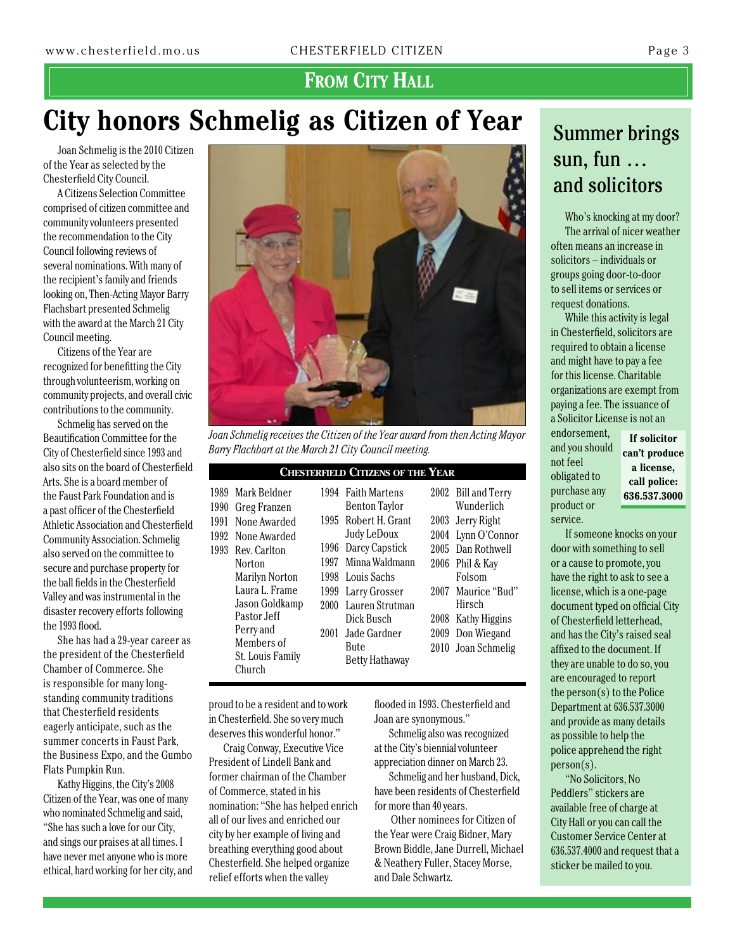### FROM CITY HALL

## **City honors Schmelig as Citizen of Year**

Joan Schmelig is the 2010 Citizen of the Year as selected by the Chesterfield City Council.

A Citizens Selection Committee comprised of citizen committee and community volunteers presented the recommendation to the City Council following reviews of several nominations. With many of the recipient's family and friends looking on, Then-Acting Mayor Barry Flachsbart presented Schmelig with the award at the March 21 City Council meeting.

Citizens of the Year are recognized for benefitting the City through volunteerism, working on community projects, and overall civic contributions to the community.

Schmelig has served on the Beautification Committee for the City of Chesterfield since 1993 and also sits on the board of Chesterfield Arts. She is a board member of the Faust Park Foundation and is a past officer of the Chesterfield Athletic Association and Chesterfield Community Association. Schmelig also served on the committee to secure and purchase property for the ball fields in the Chesterfield Valley and was instrumental in the disaster recovery efforts following the 1993 flood.

She has had a 29-year career as the president of the Chesterfield Chamber of Commerce. She is responsible for many longstanding community traditions that Chesterfield residents eagerly anticipate, such as the summer concerts in Faust Park, the Business Expo, and the Gumbo Flats Pumpkin Run.

Kathy Higgins, the City's 2008 Citizen of the Year, was one of many who nominated Schmelig and said, "She has such a love for our City, and sings our praises at all times. I have never met anyone who is more ethical, hard working for her city, and



*Joan Schmelig receives the Citizen of the Year award from then Acting Mayor Barry Flachbart at the March 21 City Council meeting.*

| <b>CHESTERFIELD CITIZENS OF THE YEAR</b> |                                   |      |                                            |      |                                   |  |  |  |  |  |
|------------------------------------------|-----------------------------------|------|--------------------------------------------|------|-----------------------------------|--|--|--|--|--|
| 1990                                     | 1989 Mark Beldner<br>Greg Franzen |      | 1994 Faith Martens<br><b>Benton Taylor</b> |      | 2002 Bill and Terry<br>Wunderlich |  |  |  |  |  |
| 1991                                     | None Awarded                      | 1995 | Robert H. Grant                            |      | 2003 Jerry Right                  |  |  |  |  |  |
| 1992                                     | None Awarded                      |      | Judy LeDoux                                |      | 2004 Lynn O'Connor                |  |  |  |  |  |
| 1993                                     | Rev. Carlton                      | 1996 | Darcy Capstick                             |      | 2005 Dan Rothwell                 |  |  |  |  |  |
|                                          | Norton                            | 1997 | Minna Waldmann                             | 2006 | Phil & Kay                        |  |  |  |  |  |
|                                          | <b>Marilyn Norton</b>             | 1998 | Louis Sachs                                |      | Folsom                            |  |  |  |  |  |
|                                          | Laura L. Frame                    | 1999 | Larry Grosser                              | 2007 | Maurice "Bud"                     |  |  |  |  |  |
|                                          | Jason Goldkamp                    | 2000 | Lauren Strutman                            |      | Hirsch                            |  |  |  |  |  |
|                                          | Pastor Jeff                       |      | Dick Busch                                 | 2008 | Kathy Higgins                     |  |  |  |  |  |
|                                          | Perry and                         | 2001 | Jade Gardner                               | 2009 | Don Wiegand                       |  |  |  |  |  |
|                                          | Members of                        |      | Bute                                       | 2010 | Joan Schmelig                     |  |  |  |  |  |
|                                          | St. Louis Family                  |      | Betty Hathaway                             |      |                                   |  |  |  |  |  |
|                                          | Church                            |      |                                            |      |                                   |  |  |  |  |  |

proud to be a resident and to work in Chesterfield. She so very much deserves this wonderful honor."

Craig Conway, Executive Vice President of Lindell Bank and former chairman of the Chamber of Commerce, stated in his nomination: "She has helped enrich all of our lives and enriched our city by her example of living and breathing everything good about Chesterfield. She helped organize relief efforts when the valley

flooded in 1993. Chesterfield and Joan are synonymous."

Schmelig also was recognized at the City's biennial volunteer appreciation dinner on March 23.

Schmelig and her husband, Dick, have been residents of Chesterfield for more than 40 years.

 Other nominees for Citizen of the Year were Craig Bidner, Mary Brown Biddle, Jane Durrell, Michael & Neathery Fuller, Stacey Morse, and Dale Schwartz.

### Summer brings sun, fun … and solicitors

Who's knocking at my door? The arrival of nicer weather often means an increase in solicitors – individuals or groups going door-to-door to sell items or services or request donations.

While this activity is legal in Chesterfield, solicitors are required to obtain a license and might have to pay a fee for this license. Charitable organizations are exempt from paying a fee. The issuance of a Solicitor License is not an

endorsement, and you should not feel obligated to purchase any product or service.

**If solicitor can't produce a license, call police: 636.537.3000**

If someone knocks on your door with something to sell or a cause to promote, you have the right to ask to see a license, which is a one-page document typed on official City of Chesterfield letterhead, and has the City's raised seal affixed to the document. If they are unable to do so, you are encouraged to report the person(s) to the Police Department at 636.537.3000 and provide as many details as possible to help the police apprehend the right  $person(s)$ .

"No Solicitors, No Peddlers" stickers are available free of charge at City Hall or you can call the Customer Service Center at 636.537.4000 and request that a sticker be mailed to you.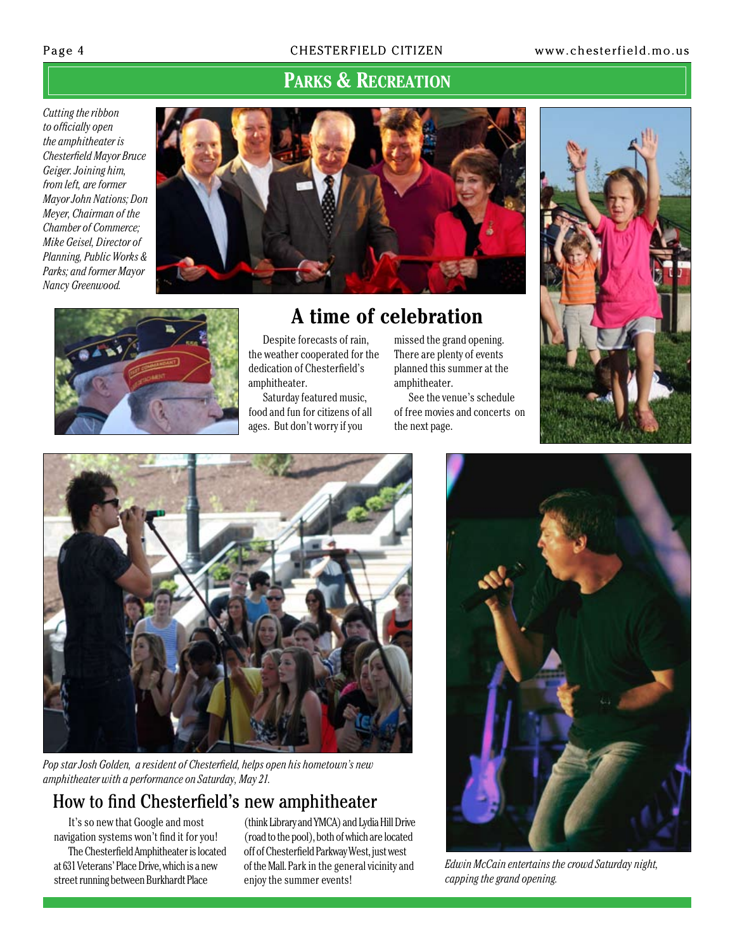#### Page 4 **CHESTERFIELD CITIZEN** www.chesterfield.mo.us

### **Parks & Recreation**

*Cutting the ribbon to officially open the amphitheater is Chesterfield Mayor Bruce Geiger. Joining him, from left, are former Mayor John Nations; Don Meyer, Chairman of the Chamber of Commerce; Mike Geisel, Director of Planning, Public Works & Parks; and former Mayor Nancy Greenwood.*





### **A time of celebration**

Despite forecasts of rain, the weather cooperated for the dedication of Chesterfield's amphitheater.

Saturday featured music, food and fun for citizens of all ages. But don't worry if you

missed the grand opening. There are plenty of events planned this summer at the amphitheater.

See the venue's schedule of free movies and concerts on the next page.





*Pop star Josh Golden, a resident of Chesterfield, helps open his hometown's new amphitheater with a performance on Saturday, May 21.*

### How to find Chesterfield's new amphitheater

It's so new that Google and most navigation systems won't find it for you! The Chesterfield Amphitheater is located at 631 Veterans' Place Drive, which is a new street running between Burkhardt Place

(think Library and YMCA) and Lydia Hill Drive (road to the pool), both of which are located off of Chesterfield Parkway West, just west of the Mall. Park in the general vicinity and enjoy the summer events!



*Edwin McCain entertains the crowd Saturday night, capping the grand opening.*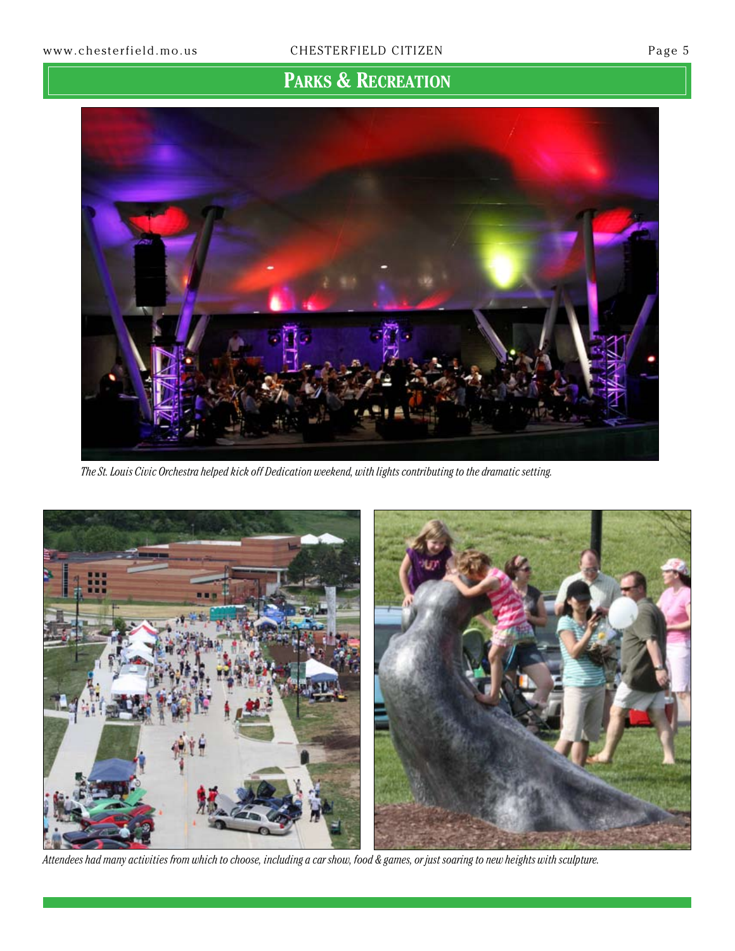### **Parks & Recreation**



*The St. Louis Civic Orchestra helped kick off Dedication weekend, with lights contributing to the dramatic setting.*



*Attendees had many activities from which to choose, including a car show, food & games, or just soaring to new heights with sculpture.*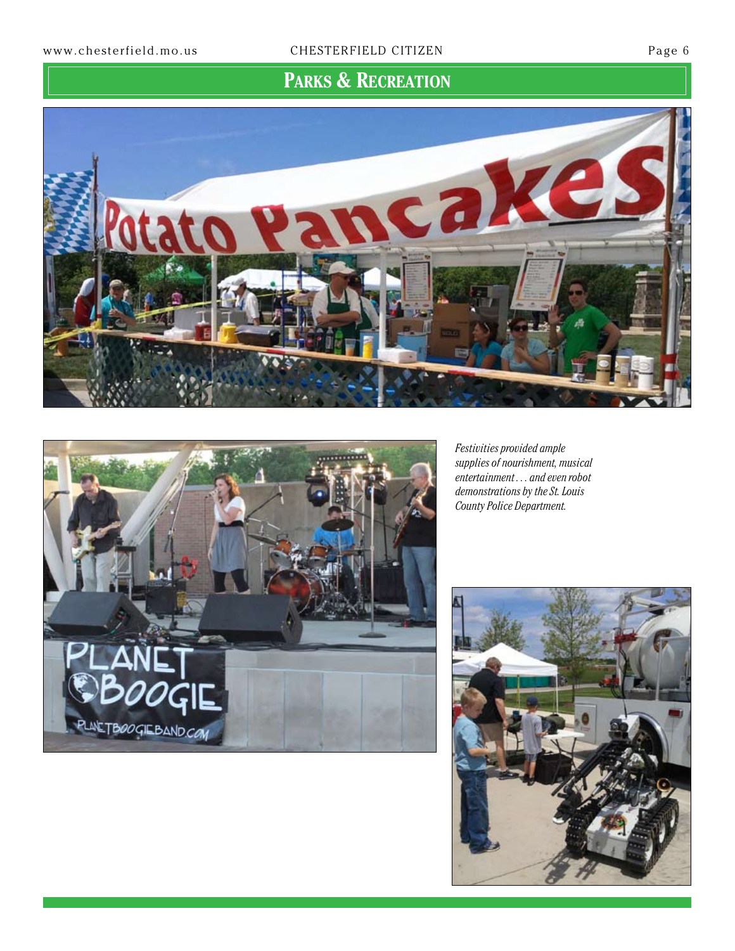**Parks & Recreation**





*Festivities provided ample supplies of nourishment, musical entertainment . . . and even robot demonstrations by the St. Louis County Police Department.*

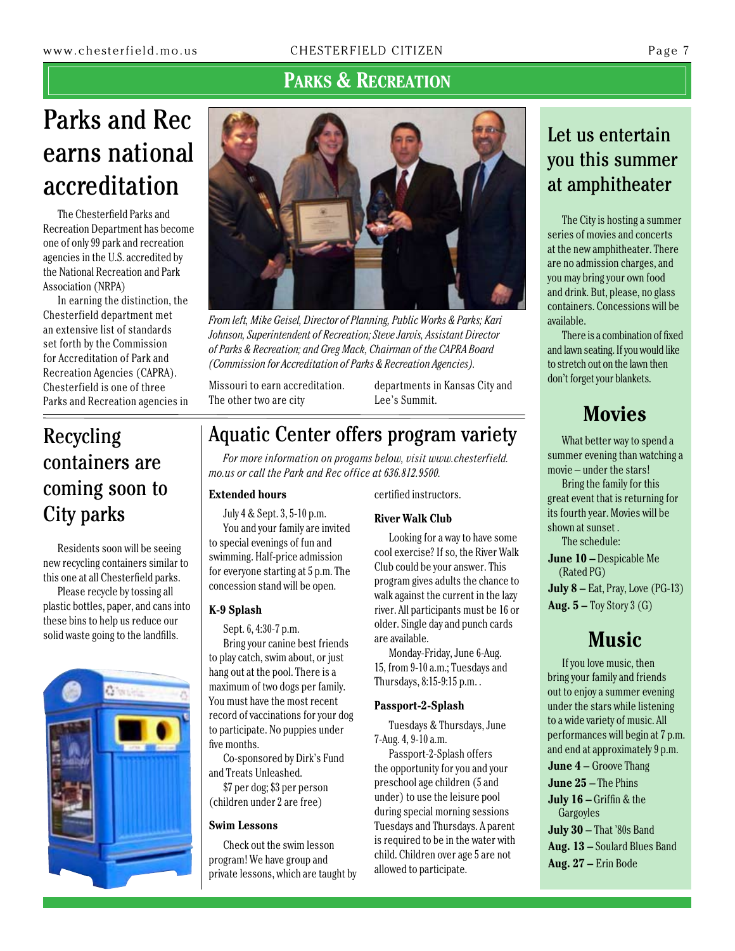### **Parks & Recreation**

# Parks and Rec earns national accreditation

The Chesterfield Parks and Recreation Department has become one of only 99 park and recreation agencies in the U.S. accredited by the National Recreation and Park Association (NRPA)

In earning the distinction, the Chesterfield department met an extensive list of standards set forth by the Commission for Accreditation of Park and Recreation Agencies (CAPRA). Chesterfield is one of three Parks and Recreation agencies in

Recycling

City parks

containers are

coming soon to

Residents soon will be seeing new recycling containers similar to this one at all Chesterfield parks. Please recycle by tossing all plastic bottles, paper, and cans into these bins to help us reduce our solid waste going to the landfills.



*From left, Mike Geisel, Director of Planning, Public Works & Parks; Kari Johnson, Superintendent of Recreation; Steve Jarvis, Assistant Director of Parks & Recreation; and Greg Mack, Chairman of the CAPRA Board (Commission for Accreditation of Parks & Recreation Agencies).*

Missouri to earn accreditation. The other two are city

departments in Kansas City and Lee's Summit.

### Aquatic Center offers program variety

*For more information on progams below, visit www.chesterfield. mo.us or call the Park and Rec office at 636.812.9500.*

#### **Extended hours**

July 4 & Sept. 3, 5-10 p.m. You and your family are invited to special evenings of fun and swimming. Half-price admission for everyone starting at 5 p.m. The concession stand will be open.

#### **K-9 Splash**

Sept. 6, 4:30-7 p.m. Bring your canine best friends to play catch, swim about, or just hang out at the pool. There is a maximum of two dogs per family. You must have the most recent record of vaccinations for your dog to participate. No puppies under five months.

Co-sponsored by Dirk's Fund and Treats Unleashed.

\$7 per dog; \$3 per person (children under 2 are free)

#### **Swim Lessons**

Check out the swim lesson program! We have group and private lessons, which are taught by certified instructors.

#### **River Walk Club**

Looking for a way to have some cool exercise? If so, the River Walk Club could be your answer. This program gives adults the chance to walk against the current in the lazy river. All participants must be 16 or older. Single day and punch cards are available.

Monday-Friday, June 6-Aug. 15, from 9-10 a.m.; Tuesdays and Thursdays, 8:15-9:15 p.m. .

#### **Passport-2-Splash**

Tuesdays & Thursdays, June 7-Aug. 4, 9-10 a.m.

Passport-2-Splash offers the opportunity for you and your preschool age children (5 and under) to use the leisure pool during special morning sessions Tuesdays and Thursdays. A parent is required to be in the water with child. Children over age 5 are not allowed to participate.

### Let us entertain you this summer at amphitheater

The City is hosting a summer series of movies and concerts at the new amphitheater. There are no admission charges, and you may bring your own food and drink. But, please, no glass containers. Concessions will be available.

There is a combination of fixed and lawn seating. If you would like to stretch out on the lawn then don't forget your blankets.

### **Movies**

What better way to spend a summer evening than watching a movie – under the stars!

Bring the family for this great event that is returning for its fourth year. Movies will be shown at sunset .

The schedule:

**June 10 –** Despicable Me (Rated PG)

**July 8 –** Eat, Pray, Love (PG-13) **Aug. 5 –** Toy Story 3 (G)

### **Music**

If you love music, then bring your family and friends out to enjoy a summer evening under the stars while listening to a wide variety of music. All performances will begin at 7 p.m. and end at approximately 9 p.m. **June 4 –** Groove Thang **June 25 –** The Phins **July 16 –** Griffin & the Gargoyles **July 30 –** That '80s Band **Aug. 13 –** Soulard Blues Band **Aug. 27 –** Erin Bode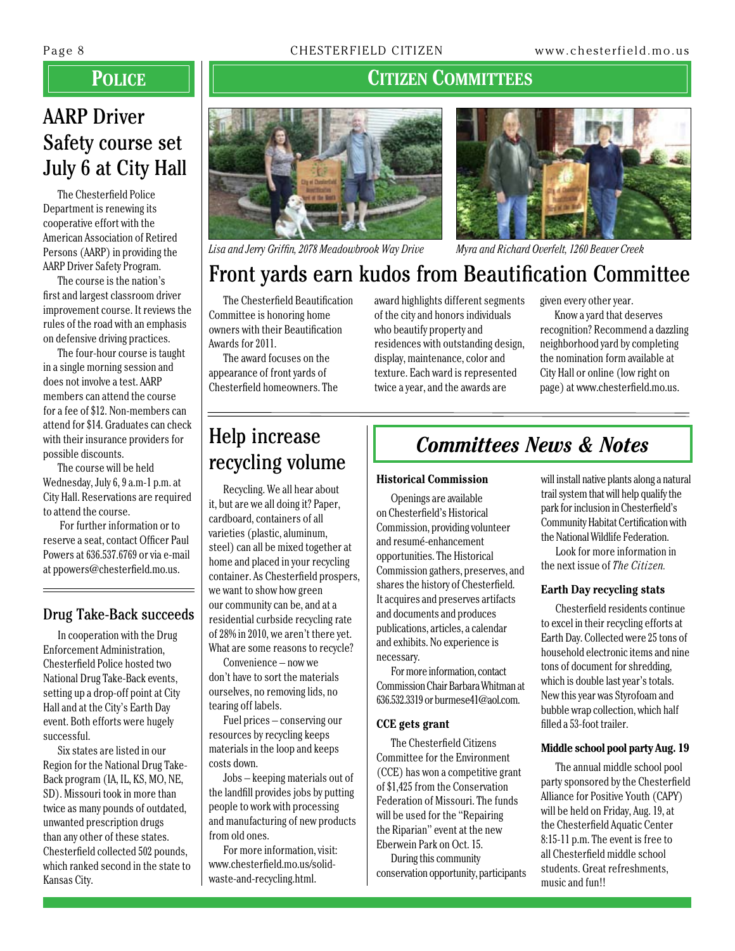### **Police**

### AARP Driver Safety course set July 6 at City Hall

The Chesterfield Police Department is renewing its cooperative effort with the American Association of Retired Persons (AARP) in providing the AARP Driver Safety Program.

The course is the nation's first and largest classroom driver improvement course. It reviews the rules of the road with an emphasis on defensive driving practices.

The four-hour course is taught in a single morning session and does not involve a test. AARP members can attend the course for a fee of \$12. Non-members can attend for \$14. Graduates can check with their insurance providers for possible discounts.

The course will be held Wednesday, July 6, 9 a.m-1 p.m. at City Hall. Reservations are required to attend the course.

 For further information or to reserve a seat, contact Officer Paul Powers at 636.537.6769 or via e-mail at ppowers@chesterfield.mo.us.

#### Drug Take-Back succeeds

In cooperation with the Drug Enforcement Administration, Chesterfield Police hosted two National Drug Take-Back events, setting up a drop-off point at City Hall and at the City's Earth Day event. Both efforts were hugely successful.

Six states are listed in our Region for the National Drug Take-Back program (IA, IL, KS, MO, NE, SD). Missouri took in more than twice as many pounds of outdated, unwanted prescription drugs than any other of these states. Chesterfield collected 502 pounds, which ranked second in the state to Kansas City.

### **Citizen Committees**



*Lisa and Jerry Griffin, 2078 Meadowbrook Way Drive Myra and Richard Overfelt, 1260 Beaver Creek*

## Front yards earn kudos from Beautification Committee

The Chesterfield Beautification Committee is honoring home owners with their Beautification Awards for 2011.

The award focuses on the appearance of front yards of Chesterfield homeowners. The award highlights different segments of the city and honors individuals who beautify property and residences with outstanding design, display, maintenance, color and texture. Each ward is represented twice a year, and the awards are

given every other year.

Know a yard that deserves recognition? Recommend a dazzling neighborhood yard by completing the nomination form available at City Hall or online (low right on page) at www.chesterfield.mo.us.

# recycling volume

Recycling. We all hear about it, but are we all doing it? Paper, cardboard, containers of all varieties (plastic, aluminum, steel) can all be mixed together at home and placed in your recycling container. As Chesterfield prospers, we want to show how green our community can be, and at a residential curbside recycling rate of 28% in 2010, we aren't there yet. What are some reasons to recycle?

Convenience – now we don't have to sort the materials ourselves, no removing lids, no tearing off labels.

Fuel prices – conserving our resources by recycling keeps materials in the loop and keeps costs down.

Jobs – keeping materials out of the landfill provides jobs by putting people to work with processing and manufacturing of new products from old ones.

For more information, visit: www.chesterfield.mo.us/solidwaste-and-recycling.html.

### Help increase **Committees News & Notes**

#### **Historical Commission**

Openings are available on Chesterfield's Historical Commission, providing volunteer and resumé-enhancement opportunities. The Historical Commission gathers, preserves, and shares the history of Chesterfield. It acquires and preserves artifacts and documents and produces publications, articles, a calendar and exhibits. No experience is necessary.

For more information, contact Commission Chair Barbara Whitman at 636.532.3319 or burmese41@aol.com.

#### **CCE gets grant**

The Chesterfield Citizens Committee for the Environment (CCE) has won a competitive grant of \$1,425 from the Conservation Federation of Missouri. The funds will be used for the "Repairing the Riparian" event at the new Eberwein Park on Oct. 15.

During this community conservation opportunity, participants will install native plants along a natural trail system that will help qualify the park for inclusion in Chesterfield's Community Habitat Certification with the National Wildlife Federation.

Look for more information in the next issue of *The Citizen.*

#### **Earth Day recycling stats**

Chesterfield residents continue to excel in their recycling efforts at Earth Day. Collected were 25 tons of household electronic items and nine tons of document for shredding, which is double last year's totals. New this year was Styrofoam and bubble wrap collection, which half filled a 53-foot trailer.

#### **Middle school pool party Aug. 19**

The annual middle school pool party sponsored by the Chesterfield Alliance for Positive Youth (CAPY) will be held on Friday, Aug. 19, at the Chesterfield Aquatic Center 8:15-11 p.m. The event is free to all Chesterfield middle school students. Great refreshments, music and fun!!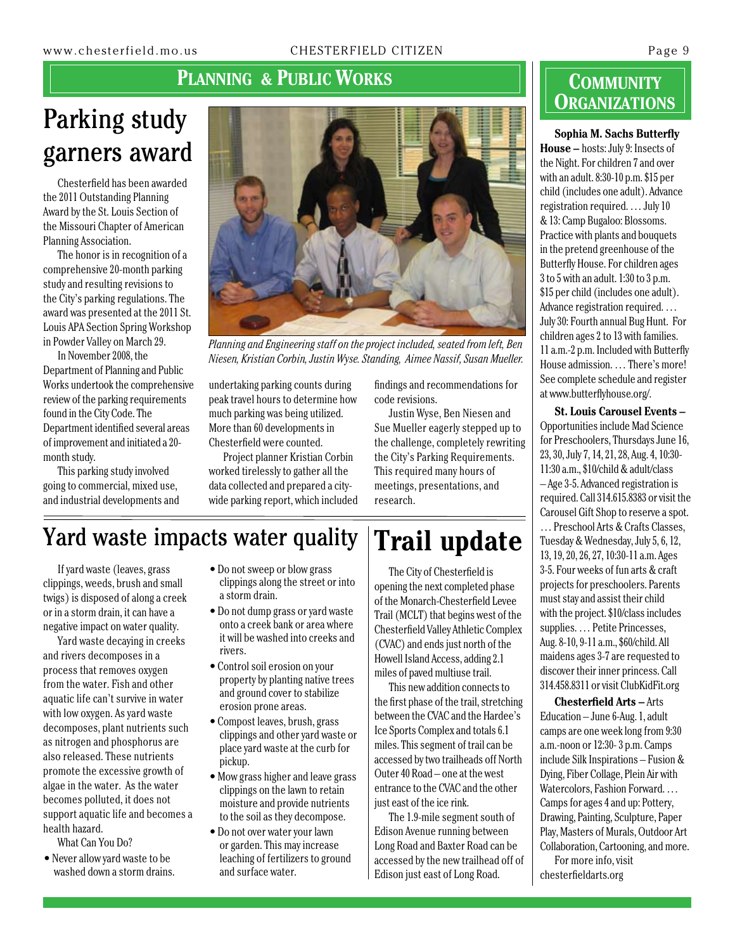### **PLANNING & PUBLIC WORKS**

## Parking study garners award

Chesterfield has been awarded the 2011 Outstanding Planning Award by the St. Louis Section of the Missouri Chapter of American Planning Association.

The honor is in recognition of a comprehensive 20-month parking study and resulting revisions to the City's parking regulations. The award was presented at the 2011 St. Louis APA Section Spring Workshop in Powder Valley on March 29.

In November 2008, the Department of Planning and Public Works undertook the comprehensive review of the parking requirements found in the City Code. The Department identified several areas of improvement and initiated a 20 month study.

This parking study involved going to commercial, mixed use, and industrial developments and



*Planning and Engineering staff on the project included, seated from left, Ben Niesen, Kristian Corbin, Justin Wyse. Standing, Aimee Nassif, Susan Mueller.*

undertaking parking counts during peak travel hours to determine how much parking was being utilized. More than 60 developments in Chesterfield were counted.

Project planner Kristian Corbin worked tirelessly to gather all the data collected and prepared a citywide parking report, which included

findings and recommendations for code revisions.

Justin Wyse, Ben Niesen and Sue Mueller eagerly stepped up to the challenge, completely rewriting the City's Parking Requirements. This required many hours of meetings, presentations, and research.

The City of Chesterfield is opening the next completed phase of the Monarch-Chesterfield Levee Trail (MCLT) that begins west of the Chesterfield Valley Athletic Complex (CVAC) and ends just north of the Howell Island Access, adding 2.1 miles of paved multiuse trail.

This new addition connects to the first phase of the trail, stretching between the CVAC and the Hardee's Ice Sports Complex and totals 6.1 miles. This segment of trail can be accessed by two trailheads off North Outer 40 Road – one at the west entrance to the CVAC and the other just east of the ice rink.

The 1.9-mile segment south of Edison Avenue running between Long Road and Baxter Road can be accessed by the new trailhead off of Edison just east of Long Road.

### **Community Organizations**

#### **Sophia M. Sachs Butterfly**

**House –** hosts: July 9: Insects of the Night. For children 7 and over with an adult. 8:30-10 p.m. \$15 per child (includes one adult). Advance registration required. … July 10 & 13: Camp Bugaloo: Blossoms. Practice with plants and bouquets in the pretend greenhouse of the Butterfly House. For children ages 3 to 5 with an adult. 1:30 to 3 p.m. \$15 per child (includes one adult). Advance registration required. … July 30: Fourth annual Bug Hunt. For children ages 2 to 13 with families. 11a.m.-2 p.m. Included with Butterfly House admission. … There's more! See complete schedule and register at www.butterflyhouse.org/.

**St. Louis Carousel Events –**  Opportunities include Mad Science for Preschoolers, Thursdays June 16, 23, 30, July 7, 14, 21, 28, Aug. 4, 10:30- 11:30 a.m., \$10/child & adult/class – Age 3-5. Advanced registration is required. Call 314.615.8383 or visit the Carousel Gift Shop to reserve a spot. … Preschool Arts & Crafts Classes, Tuesday & Wednesday, July 5, 6, 12, 13, 19, 20, 26, 27, 10:30-11 a.m. Ages 3-5. Four weeks of fun arts & craft projects for preschoolers. Parents must stay and assist their child with the project. \$10/class includes supplies. … Petite Princesses, Aug. 8-10, 9-11 a.m., \$60/child. All maidens ages 3-7 are requested to discover their inner princess. Call 314.458.8311 or visit ClubKidFit.org

**Chesterfield Arts –** Arts Education – June 6-Aug. 1, adult camps are one week long from 9:30 a.m.-noon or 12:30- 3 p.m. Camps include Silk Inspirations – Fusion & Dying, Fiber Collage, Plein Air with Watercolors, Fashion Forward. … Camps for ages 4 and up: Pottery, Drawing, Painting, Sculpture, Paper Play, Masters of Murals, Outdoor Art Collaboration, Cartooning, and more.

For more info, visit chesterfieldarts.org

### Yard waste impacts water quality **Trail update**

If yard waste (leaves, grass clippings, weeds, brush and small twigs) is disposed of along a creek or in a storm drain, it can have a negative impact on water quality.

Yard waste decaying in creeks and rivers decomposes in a process that removes oxygen from the water. Fish and other aquatic life can't survive in water with low oxygen. As yard waste decomposes, plant nutrients such as nitrogen and phosphorus are also released. These nutrients promote the excessive growth of algae in the water. As the water becomes polluted, it does not support aquatic life and becomes a health hazard.

What Can You Do?

• Never allow yard waste to be washed down a storm drains.

- Do not sweep or blow grass clippings along the street or into a storm drain.
- Do not dump grass or yard waste onto a creek bank or area where it will be washed into creeks and rivers.
- Control soil erosion on your property by planting native trees and ground cover to stabilize erosion prone areas.
- Compost leaves, brush, grass clippings and other yard waste or place yard waste at the curb for pickup.
- Mow grass higher and leave grass clippings on the lawn to retain moisture and provide nutrients to the soil as they decompose.
- Do not over water your lawn or garden. This may increase leaching of fertilizers to ground and surface water.